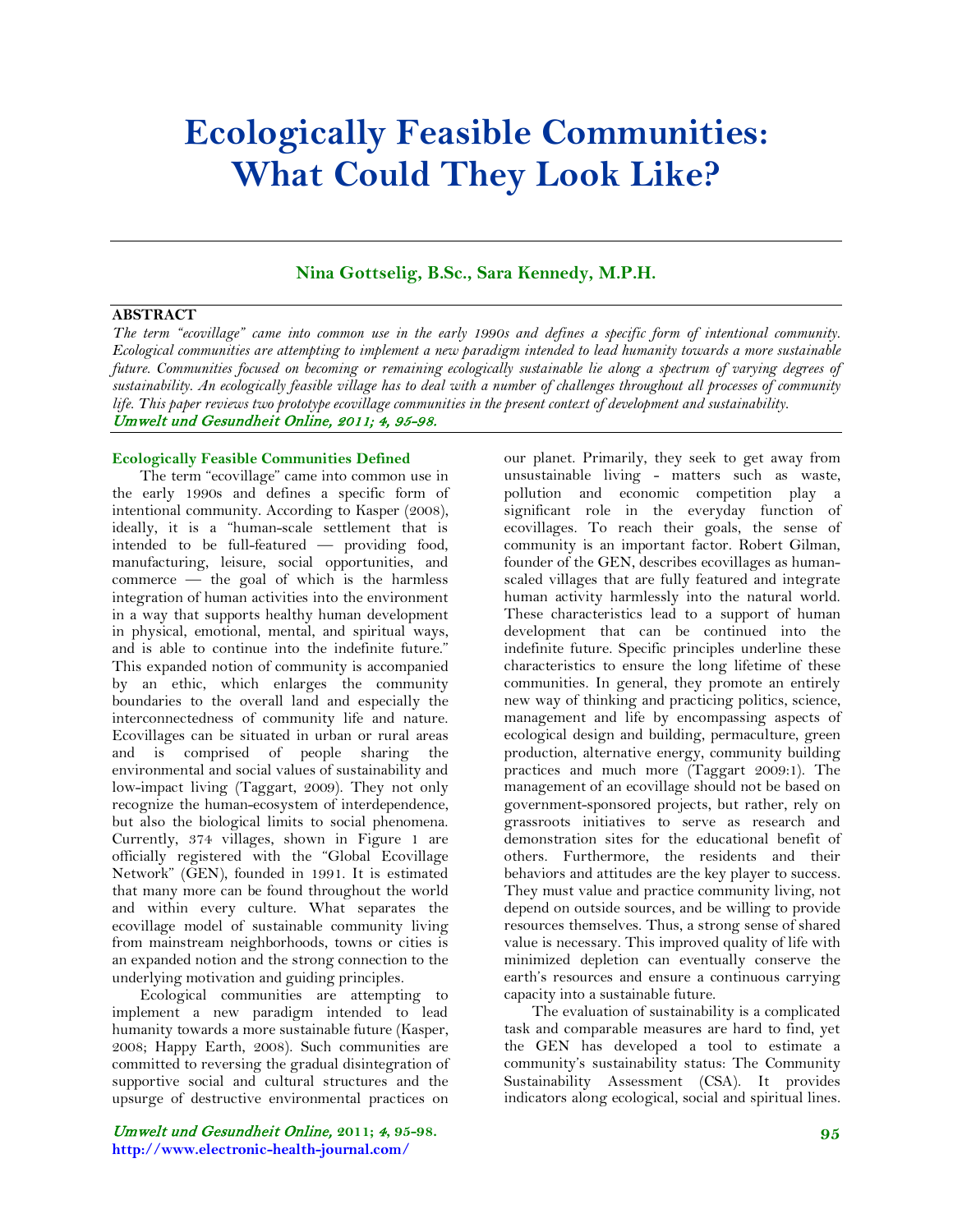# **Ecologically Feasible Communities: What Could They Look Like?**

# **Nina Gottselig, B.Sc., Sara Kennedy, M.P.H.**

## **ABSTRACT**

*The term "ecovillage" came into common use in the early 1990s and defines a specific form of intentional community. Ecological communities are attempting to implement a new paradigm intended to lead humanity towards a more sustainable future. Communities focused on becoming or remaining ecologically sustainable lie along a spectrum of varying degrees of sustainability. An ecologically feasible village has to deal with a number of challenges throughout all processes of community life. This paper reviews two prototype ecovillage communities in the present context of development and sustainability.* Umwelt und Gesundheit Online, 2011; 4, 95-98.

## **Ecologically Feasible Communities Defined**

The term "ecovillage" came into common use in the early 1990s and defines a specific form of intentional community. According to Kasper (2008), ideally, it is a "human-scale settlement that is intended to be full-featured — providing food, manufacturing, leisure, social opportunities, and commerce — the goal of which is the harmless integration of human activities into the environment in a way that supports healthy human development in physical, emotional, mental, and spiritual ways, and is able to continue into the indefinite future." This expanded notion of community is accompanied by an ethic, which enlarges the community boundaries to the overall land and especially the interconnectedness of community life and nature. Ecovillages can be situated in urban or rural areas and is comprised of people sharing the environmental and social values of sustainability and low-impact living (Taggart, 2009). They not only recognize the human-ecosystem of interdependence, but also the biological limits to social phenomena. Currently, 374 villages, shown in Figure 1 are officially registered with the "Global Ecovillage Network" (GEN), founded in 1991. It is estimated that many more can be found throughout the world and within every culture. What separates the ecovillage model of sustainable community living from mainstream neighborhoods, towns or cities is an expanded notion and the strong connection to the underlying motivation and guiding principles.

Ecological communities are attempting to implement a new paradigm intended to lead humanity towards a more sustainable future (Kasper, 2008; Happy Earth, 2008). Such communities are committed to reversing the gradual disintegration of supportive social and cultural structures and the upsurge of destructive environmental practices on

Umwelt und Gesundheit Online, **2011;** 4**, 95-98. http://www.electronic-health-journal.com/**

our planet. Primarily, they seek to get away from unsustainable living - matters such as waste, pollution and economic competition play a significant role in the everyday function of ecovillages. To reach their goals, the sense of community is an important factor. Robert Gilman, founder of the GEN, describes ecovillages as humanscaled villages that are fully featured and integrate human activity harmlessly into the natural world. These characteristics lead to a support of human development that can be continued into the indefinite future. Specific principles underline these characteristics to ensure the long lifetime of these communities. In general, they promote an entirely new way of thinking and practicing politics, science, management and life by encompassing aspects of ecological design and building, permaculture, green production, alternative energy, community building practices and much more (Taggart 2009:1). The management of an ecovillage should not be based on government-sponsored projects, but rather, rely on grassroots initiatives to serve as research and demonstration sites for the educational benefit of others. Furthermore, the residents and their behaviors and attitudes are the key player to success. They must value and practice community living, not depend on outside sources, and be willing to provide resources themselves. Thus, a strong sense of shared value is necessary. This improved quality of life with minimized depletion can eventually conserve the earth's resources and ensure a continuous carrying capacity into a sustainable future.

The evaluation of sustainability is a complicated task and comparable measures are hard to find, yet the GEN has developed a tool to estimate a community's sustainability status: The Community Sustainability Assessment (CSA). It provides indicators along ecological, social and spiritual lines.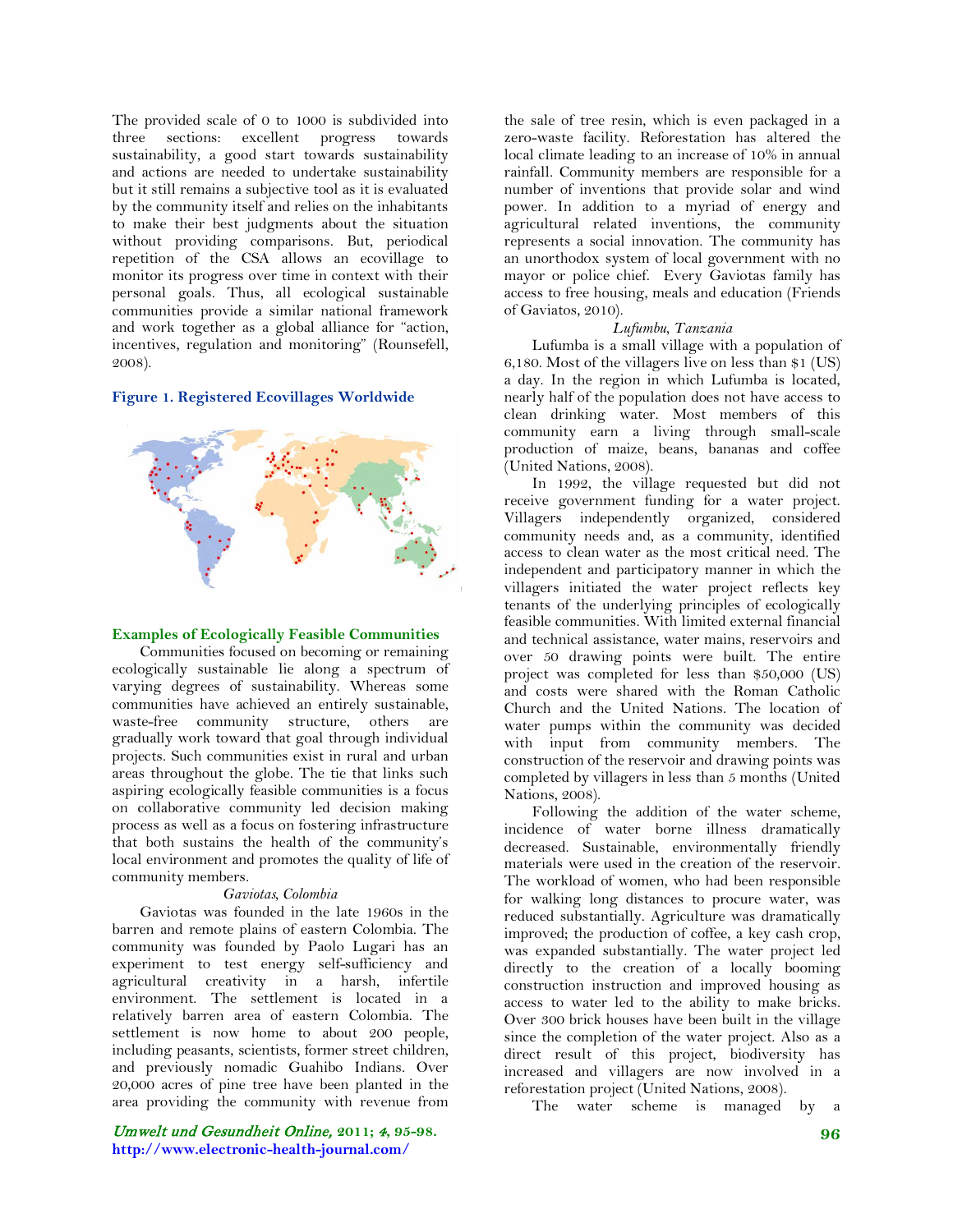The provided scale of 0 to 1000 is subdivided into three sections: excellent progress towards sustainability, a good start towards sustainability and actions are needed to undertake sustainability but it still remains a subjective tool as it is evaluated by the community itself and relies on the inhabitants to make their best judgments about the situation without providing comparisons. But, periodical repetition of the CSA allows an ecovillage to monitor its progress over time in context with their personal goals. Thus, all ecological sustainable communities provide a similar national framework and work together as a global alliance for "action, incentives, regulation and monitoring" (Rounsefell, 2008).

## **Figure 1. Registered Ecovillages Worldwide**



## **Examples of Ecologically Feasible Communities**

Communities focused on becoming or remaining ecologically sustainable lie along a spectrum of varying degrees of sustainability. Whereas some communities have achieved an entirely sustainable, waste-free community structure, others are gradually work toward that goal through individual projects. Such communities exist in rural and urban areas throughout the globe. The tie that links such aspiring ecologically feasible communities is a focus on collaborative community led decision making process as well as a focus on fostering infrastructure that both sustains the health of the community's local environment and promotes the quality of life of community members.

#### *Gaviotas, Colombia*

Gaviotas was founded in the late 1960s in the barren and remote plains of eastern Colombia. The community was founded by Paolo Lugari has an experiment to test energy self-sufficiency and agricultural creativity in a harsh, infertile environment. The settlement is located in a relatively barren area of eastern Colombia. The settlement is now home to about 200 people, including peasants, scientists, former street children, and previously nomadic Guahibo Indians. Over 20,000 acres of pine tree have been planted in the area providing the community with revenue from

Umwelt und Gesundheit Online, **2011;** 4**, 95-98. http://www.electronic-health-journal.com/**

the sale of tree resin, which is even packaged in a zero-waste facility. Reforestation has altered the local climate leading to an increase of 10% in annual rainfall. Community members are responsible for a number of inventions that provide solar and wind power. In addition to a myriad of energy and agricultural related inventions, the community represents a social innovation. The community has an unorthodox system of local government with no mayor or police chief. Every Gaviotas family has access to free housing, meals and education (Friends of Gaviatos, 2010).

### *Lufumbu, Tanzania*

Lufumba is a small village with a population of 6,180. Most of the villagers live on less than \$1 (US) a day. In the region in which Lufumba is located, nearly half of the population does not have access to clean drinking water. Most members of this community earn a living through small-scale production of maize, beans, bananas and coffee (United Nations, 2008).

In 1992, the village requested but did not receive government funding for a water project. Villagers independently organized, considered community needs and, as a community, identified access to clean water as the most critical need. The independent and participatory manner in which the villagers initiated the water project reflects key tenants of the underlying principles of ecologically feasible communities. With limited external financial and technical assistance, water mains, reservoirs and over 50 drawing points were built. The entire project was completed for less than \$50,000 (US) and costs were shared with the Roman Catholic Church and the United Nations. The location of water pumps within the community was decided with input from community members. The construction of the reservoir and drawing points was completed by villagers in less than 5 months (United Nations, 2008).

Following the addition of the water scheme, incidence of water borne illness dramatically decreased. Sustainable, environmentally friendly materials were used in the creation of the reservoir. The workload of women, who had been responsible for walking long distances to procure water, was reduced substantially. Agriculture was dramatically improved; the production of coffee, a key cash crop, was expanded substantially. The water project led directly to the creation of a locally booming construction instruction and improved housing as access to water led to the ability to make bricks. Over 300 brick houses have been built in the village since the completion of the water project. Also as a direct result of this project, biodiversity has increased and villagers are now involved in a reforestation project (United Nations, 2008).

The water scheme is managed by a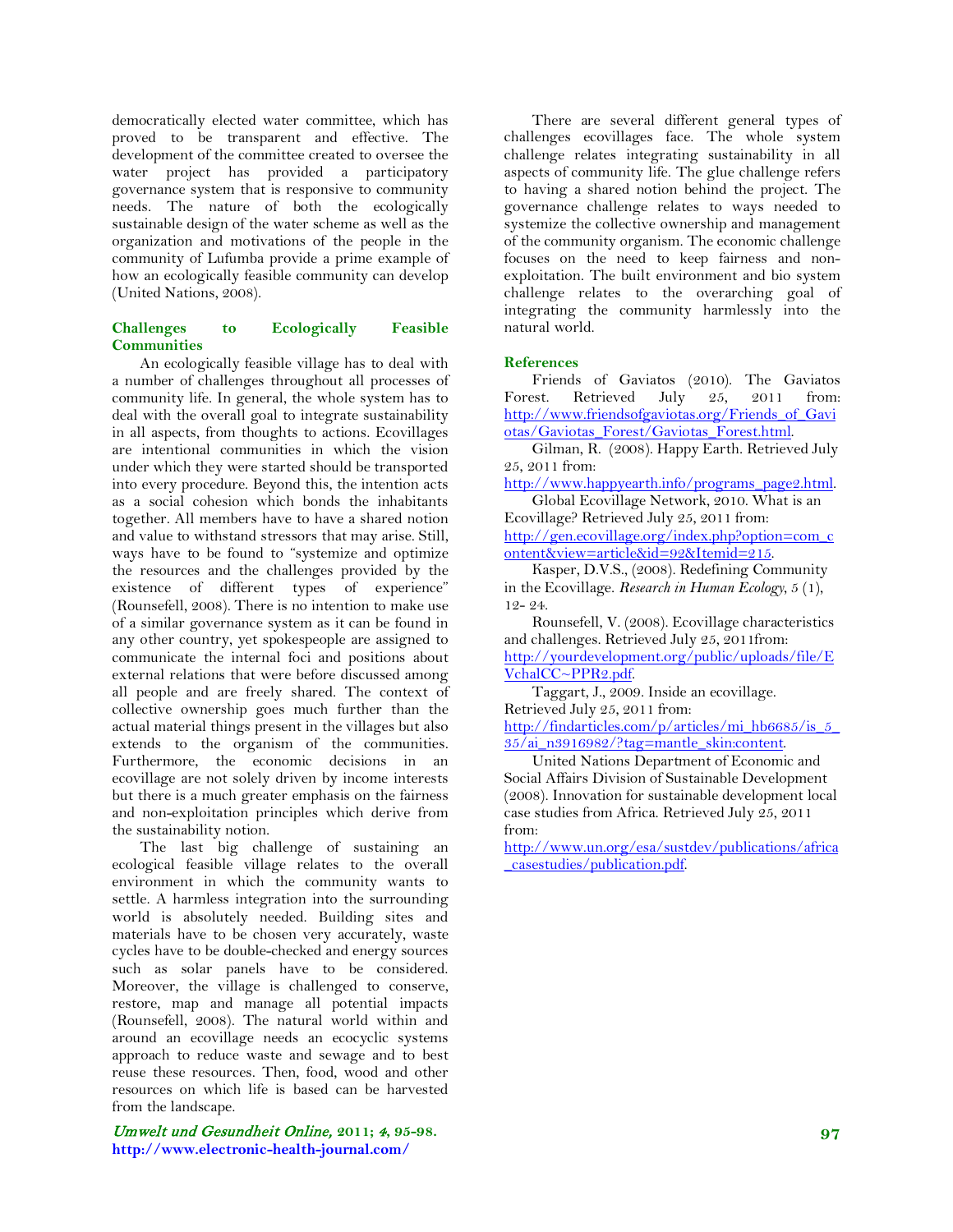democratically elected water committee, which has proved to be transparent and effective. The development of the committee created to oversee the water project has provided a participatory governance system that is responsive to community needs. The nature of both the ecologically sustainable design of the water scheme as well as the organization and motivations of the people in the community of Lufumba provide a prime example of how an ecologically feasible community can develop (United Nations, 2008).

## **Challenges to Ecologically Feasible Communities**

An ecologically feasible village has to deal with a number of challenges throughout all processes of community life. In general, the whole system has to deal with the overall goal to integrate sustainability in all aspects, from thoughts to actions. Ecovillages are intentional communities in which the vision under which they were started should be transported into every procedure. Beyond this, the intention acts as a social cohesion which bonds the inhabitants together. All members have to have a shared notion and value to withstand stressors that may arise. Still, ways have to be found to "systemize and optimize the resources and the challenges provided by the existence of different types of experience" (Rounsefell, 2008). There is no intention to make use of a similar governance system as it can be found in any other country, yet spokespeople are assigned to communicate the internal foci and positions about external relations that were before discussed among all people and are freely shared. The context of collective ownership goes much further than the actual material things present in the villages but also extends to the organism of the communities. Furthermore, the economic decisions in an ecovillage are not solely driven by income interests but there is a much greater emphasis on the fairness and non-exploitation principles which derive from the sustainability notion.

The last big challenge of sustaining an ecological feasible village relates to the overall environment in which the community wants to settle. A harmless integration into the surrounding world is absolutely needed. Building sites and materials have to be chosen very accurately, waste cycles have to be double-checked and energy sources such as solar panels have to be considered. Moreover, the village is challenged to conserve, restore, map and manage all potential impacts (Rounsefell, 2008). The natural world within and around an ecovillage needs an ecocyclic systems approach to reduce waste and sewage and to best reuse these resources. Then, food, wood and other resources on which life is based can be harvested from the landscape.

Umwelt und Gesundheit Online, **2011;** 4**, 95-98. http://www.electronic-health-journal.com/**

There are several different general types of challenges ecovillages face. The whole system challenge relates integrating sustainability in all aspects of community life. The glue challenge refers to having a shared notion behind the project. The governance challenge relates to ways needed to systemize the collective ownership and management of the community organism. The economic challenge focuses on the need to keep fairness and nonexploitation. The built environment and bio system challenge relates to the overarching goal of integrating the community harmlessly into the natural world.

## **References**

Friends of Gaviatos (2010). The Gaviatos Forest. Retrieved July 25, 2011 from: [http://www.friendsofgaviotas.org/Friends\\_of\\_Gavi](http://www.friendsofgaviotas.org/Friends_of_Gaviotas/Gaviotas_Forest/Gaviotas_Forest.html) [otas/Gaviotas\\_Forest/Gaviotas\\_Forest.html.](http://www.friendsofgaviotas.org/Friends_of_Gaviotas/Gaviotas_Forest/Gaviotas_Forest.html)

Gilman, R. (2008). Happy Earth. Retrieved July 25, 2011 from:

[http://www.happyearth.info/programs\\_page2.html.](http://www.happyearth.info/programs_page2.html) Global Ecovillage Network, 2010. What is an

Ecovillage? Retrieved July 25, 2011 from: [http://gen.ecovillage.org/index.php?option=com\\_c](http://gen.ecovillage.org/index.php?option=com_content&view=article&id=92&Itemid=215) [ontent&view=article&id=92&Itemid=215.](http://gen.ecovillage.org/index.php?option=com_content&view=article&id=92&Itemid=215)

Kasper, D.V.S., (2008). Redefining Community in the Ecovillage. *Research in Human Ecology*, 5 (1), 12- 24.

Rounsefell, V. (2008). Ecovillage characteristics and challenges. Retrieved July 25, 2011from: [http://yourdevelopment.org/public/uploads/file/E](http://yourdevelopment.org/public/uploads/file/EVchalCC~PPR2.pdf) [VchalCC~PPR2.pdf.](http://yourdevelopment.org/public/uploads/file/EVchalCC~PPR2.pdf)

Taggart, J., 2009. Inside an ecovillage. Retrieved July 25, 2011 from:

[http://findarticles.com/p/articles/mi\\_hb6685/is\\_5\\_](http://findarticles.com/p/articles/mi_hb6685/is_5_35/ai_n3916982/?tag=mantle_skin:content) [35/ai\\_n3916982/?tag=mantle\\_skin:content.](http://findarticles.com/p/articles/mi_hb6685/is_5_35/ai_n3916982/?tag=mantle_skin:content)

United Nations Department of Economic and Social Affairs Division of Sustainable Development (2008). Innovation for sustainable development local case studies from Africa. Retrieved July 25, 2011 from:

[http://www.un.org/esa/sustdev/publications/africa](http://www.un.org/esa/sustdev/publications/africa_casestudies/publication.pdf) [\\_casestudies/publication.pdf.](http://www.un.org/esa/sustdev/publications/africa_casestudies/publication.pdf)